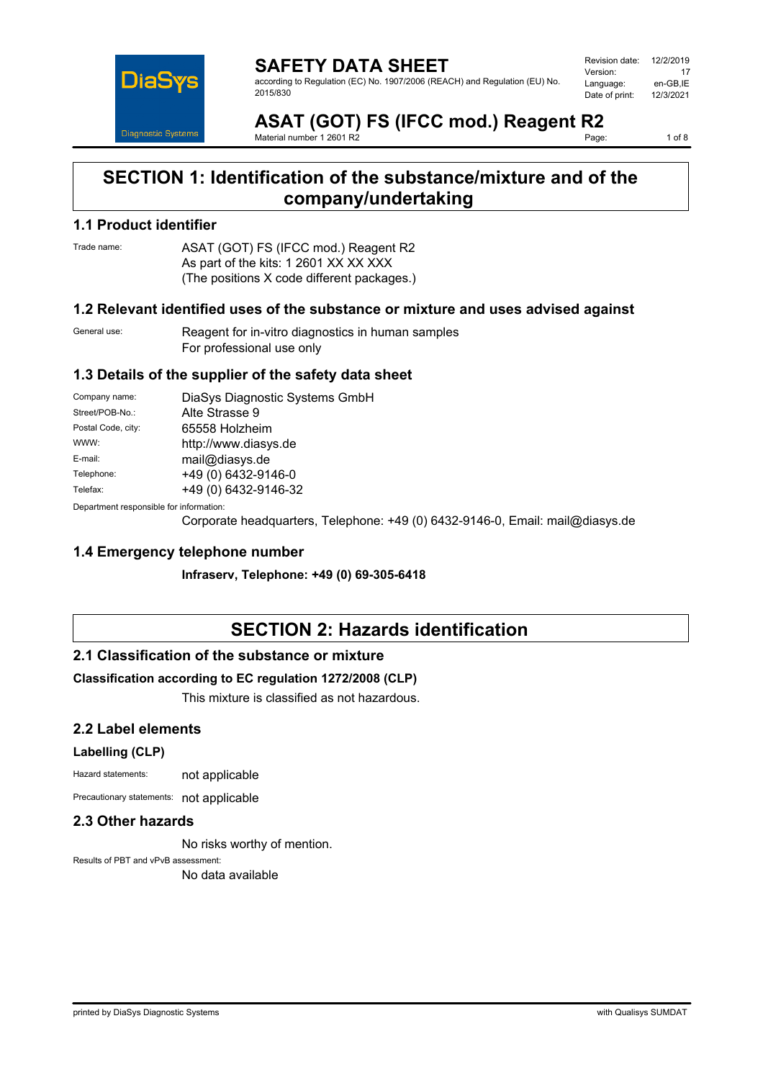

**SAFETY DATA SHEET** according to Regulation (EC) No. 1907/2006 (REACH) and Regulation (EU) No. 2015/830

Revision date: 12/2/2019 Version: 17<br>Language: en-GB.IE Language: en-GB,IE<br>Date of print: 12/3/2021 Date of print:

**ASAT (GOT) FS (IFCC mod.) Reagent R2**<br>Material number 1.2601 R2 Material number 1 2601 R2

1 of 8

### **SECTION 1: Identification of the substance/mixture and of the company/undertaking**

### **1.1 Product identifier**

Trade name: ASAT (GOT) FS (IFCC mod.) Reagent R2 As part of the kits: 1 2601 XX XX XXX (The positions X code different packages.)

#### **1.2 Relevant identified uses of the substance or mixture and uses advised against**

General use: Reagent for in-vitro diagnostics in human samples For professional use only

### **1.3 Details of the supplier of the safety data sheet**

| Company name:                           | DiaSys Diagnostic Systems GmbH |
|-----------------------------------------|--------------------------------|
| Street/POB-No.:                         | Alte Strasse 9                 |
| Postal Code, city:                      | 65558 Holzheim                 |
| WWW:                                    | http://www.diasys.de           |
| E-mail:                                 | mail@diasys.de                 |
| Telephone:                              | +49 (0) 6432-9146-0            |
| Telefax:                                | +49 (0) 6432-9146-32           |
| Denamusent recognished for information: |                                |

Department responsible for information:

Corporate headquarters, Telephone: +49 (0) 6432-9146-0, Email: mail@diasys.de

### **1.4 Emergency telephone number**

**Infraserv, Telephone: +49 (0) 69-305-6418**

### **SECTION 2: Hazards identification**

### **2.1 Classification of the substance or mixture**

### **Classification according to EC regulation 1272/2008 (CLP)**

This mixture is classified as not hazardous.

### **2.2 Label elements**

#### **Labelling (CLP)**

Hazard statements: not applicable

Precautionary statements: not applicable

### **2.3 Other hazards**

No risks worthy of mention.

Results of PBT and vPvB assessment: No data available

printed by DiaSys Diagnostic Systems with Qualisys SUMDAT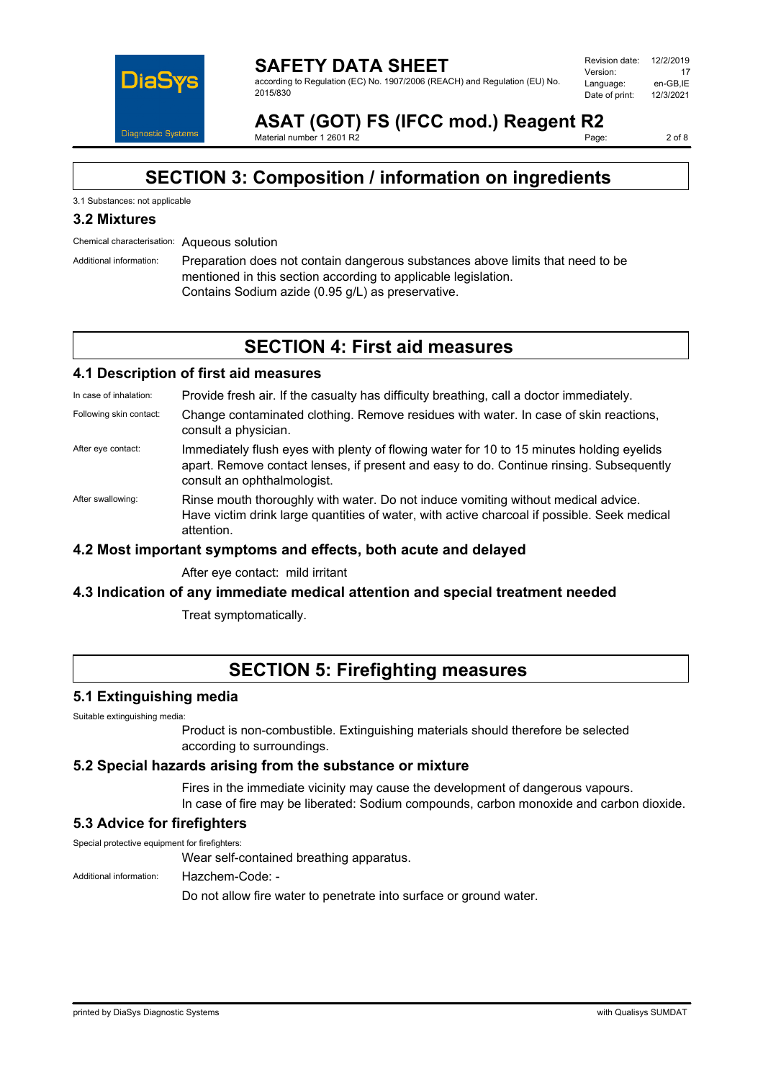

**SAFETY DATA SHEET** according to Regulation (EC) No. 1907/2006 (REACH) and Regulation (EU) No. 2015/830

Revision date: 12/2/2019 Version: <mark>17</mark><br>I anguage: الجمهور Language: en-GB,IE<br>Date of print: 12/3/2021 Date of print:

**ASAT (GOT) FS (IFCC mod.) Reagent R2** Material number 1 2601 R2

2 of 8

### **SECTION 3: Composition / information on ingredients**

#### 3.1 Substances: not applicable

### **3.2 Mixtures**

Chemical characterisation: Aqueous solution

Additional information: Preparation does not contain dangerous substances above limits that need to be mentioned in this section according to applicable legislation. Contains Sodium azide (0.95 g/L) as preservative.

### **SECTION 4: First aid measures**

### **4.1 Description of first aid measures**

In case of inhalation: Provide fresh air. If the casualty has difficulty breathing, call a doctor immediately.

- Following skin contact: Change contaminated clothing. Remove residues with water. In case of skin reactions, consult a physician.
- After eye contact: Immediately flush eyes with plenty of flowing water for 10 to 15 minutes holding eyelids apart. Remove contact lenses, if present and easy to do. Continue rinsing. Subsequently consult an ophthalmologist.
- After swallowing: Rinse mouth thoroughly with water. Do not induce vomiting without medical advice. Have victim drink large quantities of water, with active charcoal if possible. Seek medical attention.

### **4.2 Most important symptoms and effects, both acute and delayed**

After eye contact: mild irritant

### **4.3 Indication of any immediate medical attention and special treatment needed**

Treat symptomatically.

### **SECTION 5: Firefighting measures**

### **5.1 Extinguishing media**

Suitable extinguishing media:

Product is non-combustible. Extinguishing materials should therefore be selected according to surroundings.

### **5.2 Special hazards arising from the substance or mixture**

Fires in the immediate vicinity may cause the development of dangerous vapours. In case of fire may be liberated: Sodium compounds, carbon monoxide and carbon dioxide.

### **5.3 Advice for firefighters**

Special protective equipment for firefighters:

Wear self-contained breathing apparatus.

Additional information: Hazchem-Code: -

Do not allow fire water to penetrate into surface or ground water.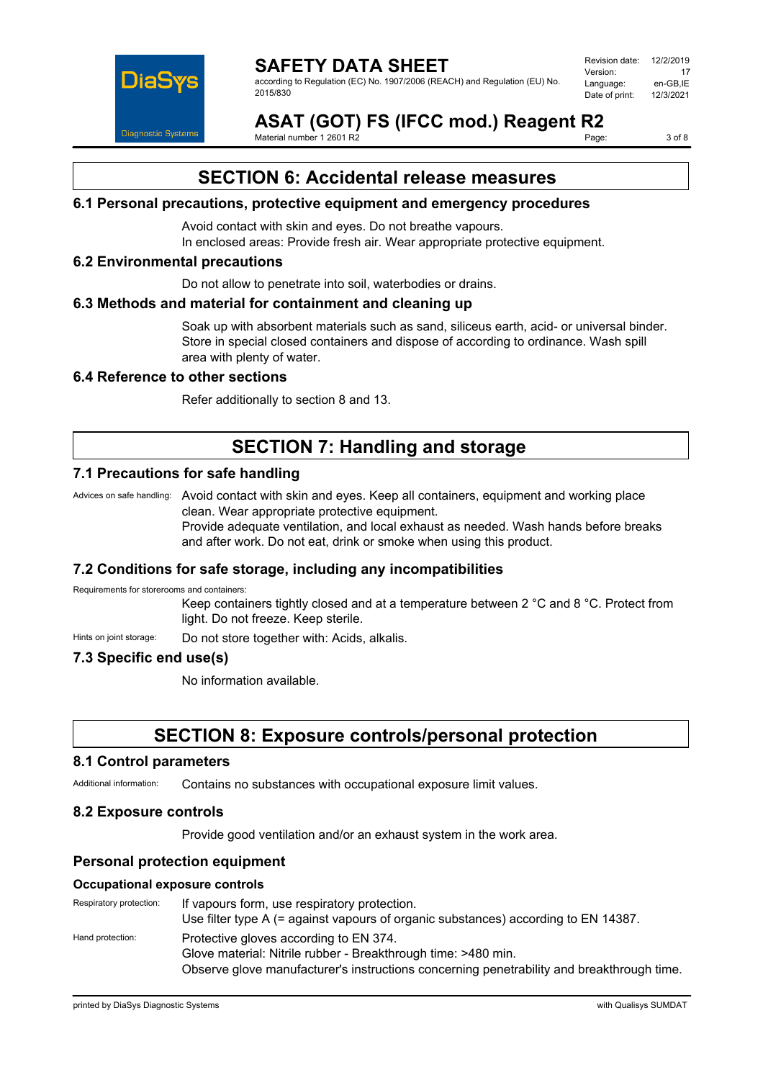

#### **SAFETY DATA SHEET** according to Regulation (EC) No. 1907/2006 (REACH) and Regulation (EU) No. 2015/830

Revision date: 12/2/2019 Version: 17<br>Language: en-GB.IE Language: en-GB,IE<br>Date of print: 12/3/2021 Date of print:

**ASAT (GOT) FS (IFCC mod.) Reagent R2**<br>Material number 1.2601 R2 Material number 1 2601 R2

3 of 8

### **SECTION 6: Accidental release measures**

### **6.1 Personal precautions, protective equipment and emergency procedures**

Avoid contact with skin and eyes. Do not breathe vapours. In enclosed areas: Provide fresh air. Wear appropriate protective equipment.

#### **6.2 Environmental precautions**

Do not allow to penetrate into soil, waterbodies or drains.

#### **6.3 Methods and material for containment and cleaning up**

Soak up with absorbent materials such as sand, siliceus earth, acid- or universal binder. Store in special closed containers and dispose of according to ordinance. Wash spill area with plenty of water.

#### **6.4 Reference to other sections**

Refer additionally to section 8 and 13.

### **SECTION 7: Handling and storage**

### **7.1 Precautions for safe handling**

Advices on safe handling: Avoid contact with skin and eyes. Keep all containers, equipment and working place clean. Wear appropriate protective equipment. Provide adequate ventilation, and local exhaust as needed. Wash hands before breaks and after work. Do not eat, drink or smoke when using this product.

### **7.2 Conditions for safe storage, including any incompatibilities**

Requirements for storerooms and containers:

Keep containers tightly closed and at a temperature between 2 °C and 8 °C. Protect from light. Do not freeze. Keep sterile.

Hints on joint storage: Do not store together with: Acids, alkalis.

### **7.3 Specific end use(s)**

No information available.

### **SECTION 8: Exposure controls/personal protection**

#### **8.1 Control parameters**

Additional information: Contains no substances with occupational exposure limit values.

### **8.2 Exposure controls**

Provide good ventilation and/or an exhaust system in the work area.

### **Personal protection equipment**

#### **Occupational exposure controls**

| Respiratory protection: | If vapours form, use respiratory protection.<br>Use filter type A (= against vapours of organic substances) according to EN 14387. |
|-------------------------|------------------------------------------------------------------------------------------------------------------------------------|
| Hand protection:        | Protective gloves according to EN 374.                                                                                             |
|                         | Glove material: Nitrile rubber - Breakthrough time: >480 min.                                                                      |
|                         | Observe glove manufacturer's instructions concerning penetrability and breakthrough time.                                          |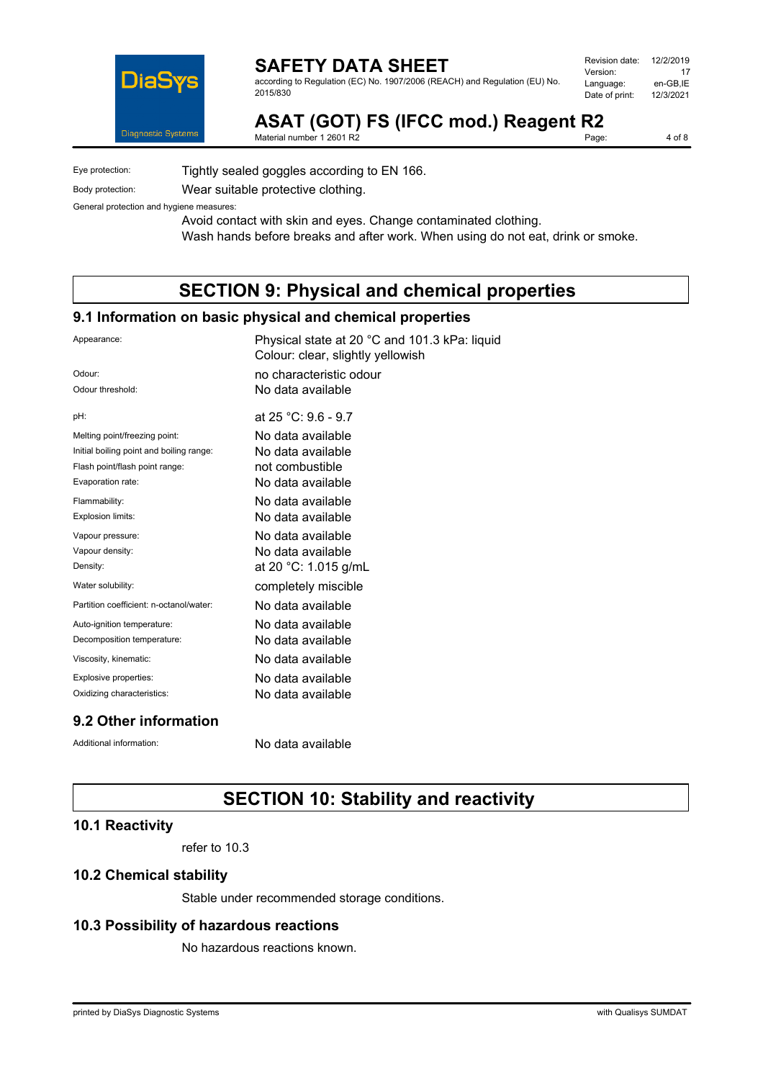

according to Regulation (EC) No. 1907/2006 (REACH) and Regulation (EU) No. 2015/830

| Revision date: | 12/2/2019 |
|----------------|-----------|
| Version:       | 17        |
| Language:      | en-GB.IE  |
| Date of print: | 12/3/2021 |
|                |           |

**ASAT (GOT) FS (IFCC mod.) Reagent R2**<br>Material number 1 2601 R2

Material number 1 2601 R2

4 of 8

Eye protection: Tightly sealed goggles according to EN 166.

Body protection: Wear suitable protective clothing.

General protection and hygiene measures:

Avoid contact with skin and eyes. Change contaminated clothing. Wash hands before breaks and after work. When using do not eat, drink or smoke.

### **SECTION 9: Physical and chemical properties**

### **9.1 Information on basic physical and chemical properties**

| Appearance:                              | Physical state at 20 °C and 101.3 kPa: liquid<br>Colour: clear, slightly yellowish |
|------------------------------------------|------------------------------------------------------------------------------------|
| Odour:                                   | no characteristic odour                                                            |
| Odour threshold:                         | No data available                                                                  |
| pH:                                      | at 25 °C: 9.6 - 9.7                                                                |
| Melting point/freezing point:            | No data available                                                                  |
| Initial boiling point and boiling range: | No data available                                                                  |
| Flash point/flash point range:           | not combustible                                                                    |
| Evaporation rate:                        | No data available                                                                  |
| Flammability:                            | No data available                                                                  |
| Explosion limits:                        | No data available                                                                  |
| Vapour pressure:                         | No data available                                                                  |
| Vapour density:                          | No data available                                                                  |
| Density:                                 | at 20 °C: 1.015 g/mL                                                               |
| Water solubility:                        | completely miscible                                                                |
| Partition coefficient: n-octanol/water:  | No data available                                                                  |
| Auto-ignition temperature:               | No data available                                                                  |
| Decomposition temperature:               | No data available                                                                  |
| Viscosity, kinematic:                    | No data available                                                                  |
| Explosive properties:                    | No data available                                                                  |
| Oxidizing characteristics:               | No data available                                                                  |
| 0 7 ∩thar infarmatian                    |                                                                                    |

### **9.2 Other information**

Additional information: No data available

### **SECTION 10: Stability and reactivity**

### **10.1 Reactivity**

refer to 10.3

### **10.2 Chemical stability**

Stable under recommended storage conditions.

### **10.3 Possibility of hazardous reactions**

No hazardous reactions known.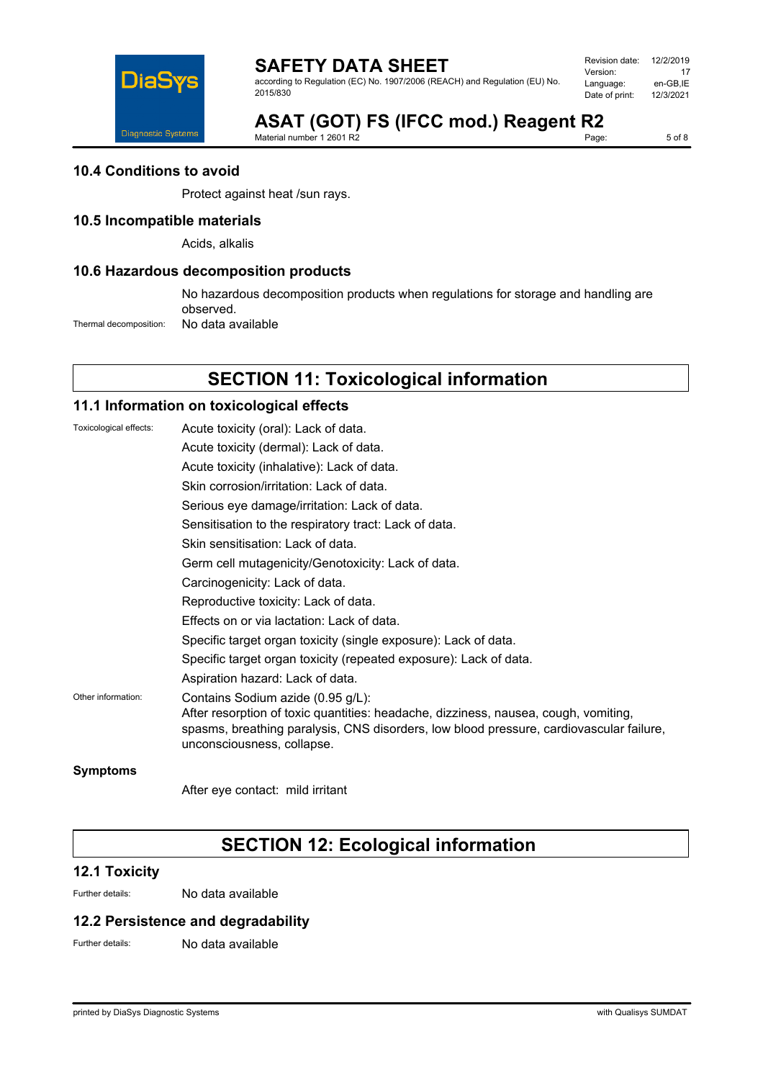

according to Regulation (EC) No. 1907/2006 (REACH) and Regulation (EU) No. 2015/830

| Revision date: | 12/2/2019 |
|----------------|-----------|
| Version:       | 17        |
| Language:      | en-GB.IE  |
| Date of print: | 12/3/2021 |
|                |           |

# **ASAT (GOT) FS (IFCC mod.) Reagent R2**<br>Material number 1 2601 R2

Material number 1 2601 R2

 $5$  of  $8$ 

### **10.4 Conditions to avoid**

Protect against heat /sun rays.

### **10.5 Incompatible materials**

Acids, alkalis

### **10.6 Hazardous decomposition products**

No hazardous decomposition products when regulations for storage and handling are observed.

Thermal decomposition: No data available

## **SECTION 11: Toxicological information**

### **11.1 Information on toxicological effects**

| Toxicological effects: | Acute toxicity (oral): Lack of data.                                                                                                                                                                                                              |
|------------------------|---------------------------------------------------------------------------------------------------------------------------------------------------------------------------------------------------------------------------------------------------|
|                        | Acute toxicity (dermal): Lack of data.                                                                                                                                                                                                            |
|                        | Acute toxicity (inhalative): Lack of data.                                                                                                                                                                                                        |
|                        | Skin corrosion/irritation: Lack of data.                                                                                                                                                                                                          |
|                        | Serious eye damage/irritation: Lack of data.                                                                                                                                                                                                      |
|                        | Sensitisation to the respiratory tract: Lack of data.                                                                                                                                                                                             |
|                        | Skin sensitisation: Lack of data.                                                                                                                                                                                                                 |
|                        | Germ cell mutagenicity/Genotoxicity: Lack of data.                                                                                                                                                                                                |
|                        | Carcinogenicity: Lack of data.                                                                                                                                                                                                                    |
|                        | Reproductive toxicity: Lack of data.                                                                                                                                                                                                              |
|                        | Effects on or via lactation: Lack of data.                                                                                                                                                                                                        |
|                        | Specific target organ toxicity (single exposure): Lack of data.                                                                                                                                                                                   |
|                        | Specific target organ toxicity (repeated exposure): Lack of data.                                                                                                                                                                                 |
|                        | Aspiration hazard: Lack of data.                                                                                                                                                                                                                  |
| Other information:     | Contains Sodium azide (0.95 g/L):<br>After resorption of toxic quantities: headache, dizziness, nausea, cough, vomiting,<br>spasms, breathing paralysis, CNS disorders, low blood pressure, cardiovascular failure,<br>unconsciousness, collapse. |
| <b>Symptoms</b>        |                                                                                                                                                                                                                                                   |

After eye contact: mild irritant

## **SECTION 12: Ecological information**

### **12.1 Toxicity**

Further details: No data available

### **12.2 Persistence and degradability**

Further details: No data available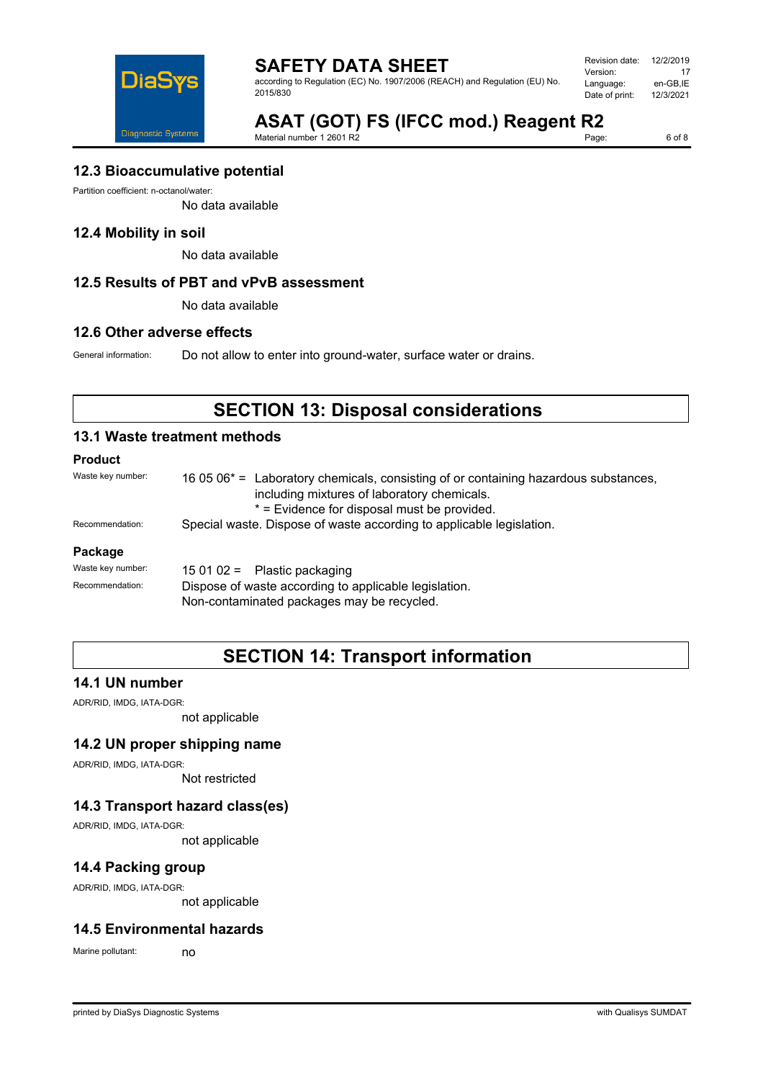

according to Regulation (EC) No. 1907/2006 (REACH) and Regulation (EU) No. 2015/830

Revision date: 12/2/2019 Version: 17<br>Language: en-GB,IE en-GB,IE<br>12/3/2021 Date of print:

# **ASAT (GOT) FS (IFCC mod.) Reagent R2**<br>Material number 1 2601 R2

Material number 1 2601 R2

6 of 8

### **12.3 Bioaccumulative potential**

Partition coefficient: n-octanol/water:

No data available

### **12.4 Mobility in soil**

No data available

### **12.5 Results of PBT and vPvB assessment**

No data available

### **12.6 Other adverse effects**

General information: Do not allow to enter into ground-water, surface water or drains.

## **SECTION 13: Disposal considerations**

### **13.1 Waste treatment methods**

### **Product**

| Waste key number: | 16 05 06 <sup>*</sup> = Laboratory chemicals, consisting of or containing hazardous substances,<br>including mixtures of laboratory chemicals.<br>* = Evidence for disposal must be provided. |  |
|-------------------|-----------------------------------------------------------------------------------------------------------------------------------------------------------------------------------------------|--|
| Recommendation:   | Special waste. Dispose of waste according to applicable legislation.                                                                                                                          |  |
| Package           |                                                                                                                                                                                               |  |
| Waste key number: | 15 01 02 = Plastic packaging                                                                                                                                                                  |  |
| Recommendation:   | Dispose of waste according to applicable legislation.                                                                                                                                         |  |

Non-contaminated packages may be recycled.

## **SECTION 14: Transport information**

### **14.1 UN number**

ADR/RID, IMDG, IATA-DGR:

not applicable

### **14.2 UN proper shipping name**

ADR/RID, IMDG, IATA-DGR:

Not restricted

### **14.3 Transport hazard class(es)**

ADR/RID, IMDG, IATA-DGR:

not applicable

### **14.4 Packing group**

ADR/RID, IMDG, IATA-DGR:

not applicable

### **14.5 Environmental hazards**

Marine pollutant: no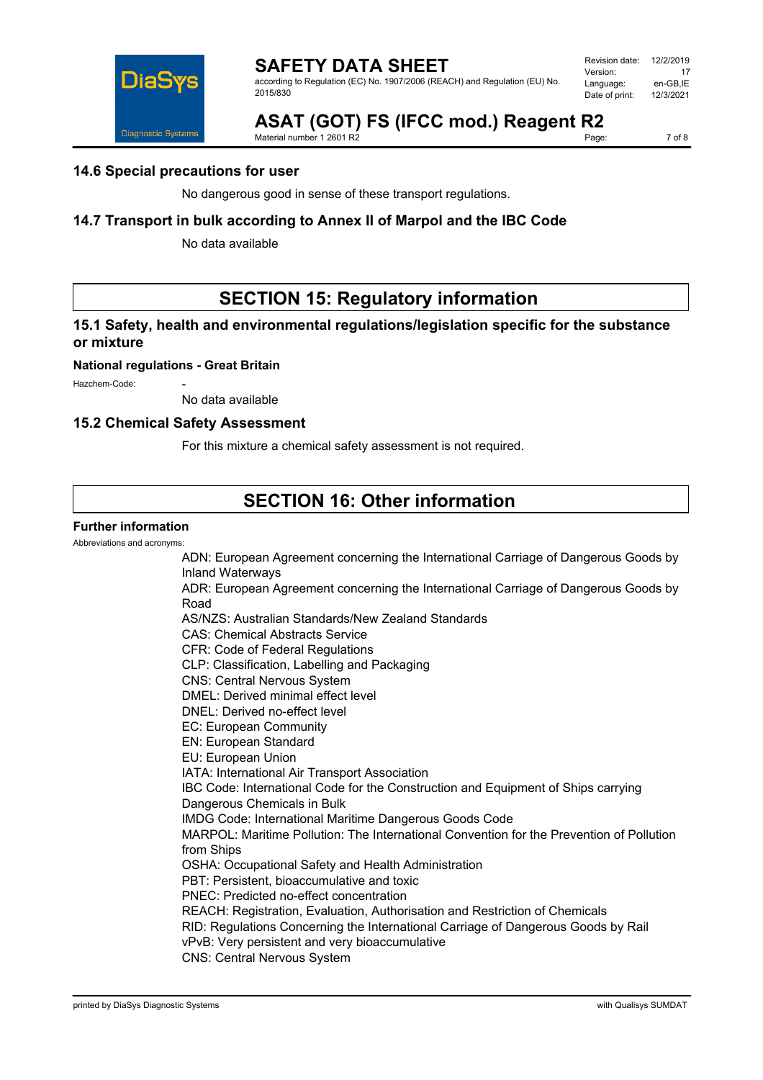

according to Regulation (EC) No. 1907/2006 (REACH) and Regulation (EU) No. 2015/830

| Revision date: | 12/2/2019 |
|----------------|-----------|
| Version:       | 17        |
| Language:      | en-GB.IE  |
| Date of print: | 12/3/2021 |
|                |           |

# **ASAT (GOT) FS (IFCC mod.) Reagent R2**<br>Material number 1.2601 R2

Material number 1 2601 R2

7 of 8

### **14.6 Special precautions for user**

No dangerous good in sense of these transport regulations.

### **14.7 Transport in bulk according to Annex II of Marpol and the IBC Code**

No data available

## **SECTION 15: Regulatory information**

### **15.1 Safety, health and environmental regulations/legislation specific for the substance or mixture**

#### **National regulations - Great Britain**

Hazchem-Code:

No data available

### **15.2 Chemical Safety Assessment**

For this mixture a chemical safety assessment is not required.

### **SECTION 16: Other information**

### **Further information**

Abbreviations and acronyms:

ADN: European Agreement concerning the International Carriage of Dangerous Goods by Inland Waterways ADR: European Agreement concerning the International Carriage of Dangerous Goods by Road AS/NZS: Australian Standards/New Zealand Standards CAS: Chemical Abstracts Service CFR: Code of Federal Regulations CLP: Classification, Labelling and Packaging CNS: Central Nervous System DMEL: Derived minimal effect level DNEL: Derived no-effect level EC: European Community EN: European Standard EU: European Union IATA: International Air Transport Association IBC Code: International Code for the Construction and Equipment of Ships carrying Dangerous Chemicals in Bulk IMDG Code: International Maritime Dangerous Goods Code MARPOL: Maritime Pollution: The International Convention for the Prevention of Pollution from Ships OSHA: Occupational Safety and Health Administration PBT: Persistent, bioaccumulative and toxic PNEC: Predicted no-effect concentration REACH: Registration, Evaluation, Authorisation and Restriction of Chemicals RID: Regulations Concerning the International Carriage of Dangerous Goods by Rail vPvB: Very persistent and very bioaccumulative CNS: Central Nervous System